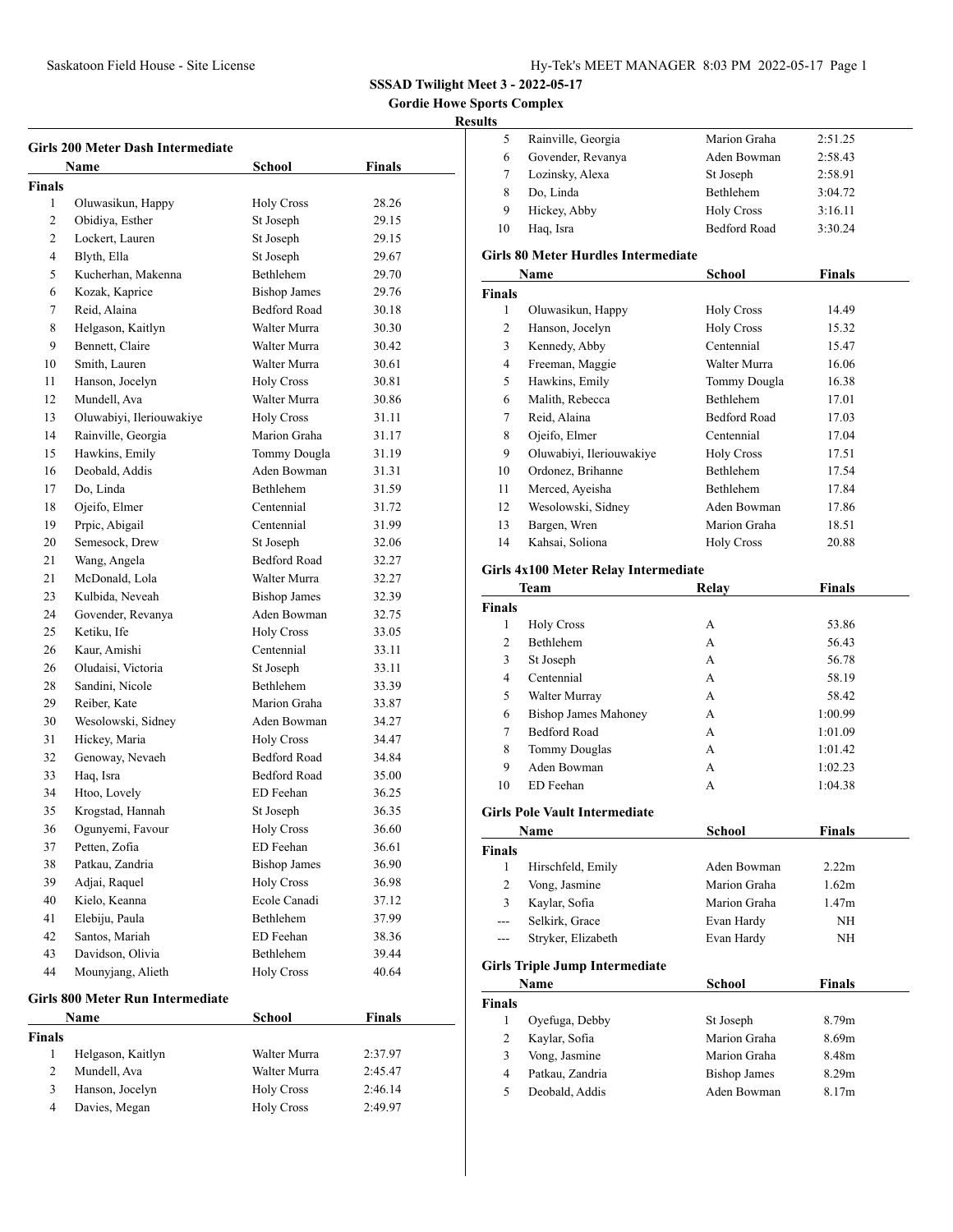**Gordie Howe Sports Complex**

# **Resul**

|               | <b>Girls 200 Meter Dash Intermediate</b> |                     |               |  |  |
|---------------|------------------------------------------|---------------------|---------------|--|--|
|               | Name                                     | School              | Finals        |  |  |
| <b>Finals</b> |                                          |                     |               |  |  |
| 1             | Oluwasikun, Happy                        | <b>Holy Cross</b>   | 28.26         |  |  |
| 2             | Obidiya, Esther                          | St Joseph           | 29.15         |  |  |
| 2             | Lockert, Lauren                          | St Joseph           | 29.15         |  |  |
| 4             | Blyth, Ella                              | St Joseph           | 29.67         |  |  |
| 5             | Kucherhan, Makenna                       | Bethlehem           | 29.70         |  |  |
| 6             | Kozak, Kaprice                           | <b>Bishop James</b> | 29.76         |  |  |
| 7             | Reid, Alaina                             | <b>Bedford Road</b> | 30.18         |  |  |
| 8             | Helgason, Kaitlyn                        | Walter Murra        | 30.30         |  |  |
| 9             | Bennett, Claire                          | Walter Murra        | 30.42         |  |  |
| 10            | Smith, Lauren                            | Walter Murra        | 30.61         |  |  |
| 11            | Hanson, Jocelyn                          | <b>Holy Cross</b>   | 30.81         |  |  |
| 12            | Mundell, Ava                             | Walter Murra        | 30.86         |  |  |
| 13            | Oluwabiyi, Ileriouwakiye                 | <b>Holy Cross</b>   | 31.11         |  |  |
| 14            | Rainville, Georgia                       | Marion Graha        | 31.17         |  |  |
| 15            | Hawkins, Emily                           | Tommy Dougla        | 31.19         |  |  |
| 16            | Deobald, Addis                           | Aden Bowman         | 31.31         |  |  |
| 17            | Do, Linda                                | Bethlehem           | 31.59         |  |  |
| 18            | Ojeifo, Elmer                            | Centennial          | 31.72         |  |  |
| 19            | Prpic, Abigail                           | Centennial          | 31.99         |  |  |
| 20            | Semesock, Drew                           | St Joseph           | 32.06         |  |  |
| 21            | Wang, Angela                             | <b>Bedford Road</b> | 32.27         |  |  |
| 21            | McDonald, Lola                           | Walter Murra        | 32.27         |  |  |
| 23            | Kulbida, Neveah                          | <b>Bishop James</b> | 32.39         |  |  |
| 24            | Govender, Revanya                        | Aden Bowman         | 32.75         |  |  |
| 25            | Ketiku, Ife                              | <b>Holy Cross</b>   | 33.05         |  |  |
| 26            | Kaur, Amishi                             | Centennial          | 33.11         |  |  |
| 26            | Oludaisi, Victoria                       | St Joseph           | 33.11         |  |  |
| 28            | Sandini, Nicole                          | Bethlehem           | 33.39         |  |  |
| 29            | Reiber, Kate                             | Marion Graha        | 33.87         |  |  |
| 30            | Wesolowski, Sidney                       | Aden Bowman         | 34.27         |  |  |
| 31            | Hickey, Maria                            | <b>Holy Cross</b>   | 34.47         |  |  |
| 32            | Genoway, Nevaeh                          | <b>Bedford Road</b> | 34.84         |  |  |
| 33            | Haq, Isra                                | <b>Bedford Road</b> | 35.00         |  |  |
| 34            | Htoo, Lovely                             | ED Feehan           | 36.25         |  |  |
| 35            | Krogstad, Hannah                         | St Joseph           | 36.35         |  |  |
| 36            | Ogunyemi, Favour                         | Holy Cross          | 36.60         |  |  |
| 37            | Petten, Zofia                            | ED Feehan           | 36.61         |  |  |
| 38            | Patkau, Zandria                          | <b>Bishop James</b> | 36.90         |  |  |
| 39            | Adjai, Raquel                            | <b>Holy Cross</b>   | 36.98         |  |  |
| 40            | Kielo, Keanna                            | Ecole Canadi        | 37.12         |  |  |
| 41            | Elebiju, Paula                           | Bethlehem           | 37.99         |  |  |
| 42            | Santos, Mariah                           | ED Feehan           | 38.36         |  |  |
| 43            | Davidson, Olivia                         | Bethlehem           | 39.44         |  |  |
| 44            | Mounyjang, Alieth                        | <b>Holy Cross</b>   | 40.64         |  |  |
|               | <b>Girls 800 Meter Run Intermediate</b>  |                     |               |  |  |
|               | Name                                     | <b>School</b>       | <b>Finals</b> |  |  |
| Finals        |                                          |                     |               |  |  |
| $\mathbf{1}$  | Helgason, Kaitlyn                        | Walter Murra        | 2:37.97       |  |  |
| 2             | Mundell, Ava                             | Walter Murra        | 2:45.47       |  |  |
| 3<br>4        | Hanson, Jocelyn                          | <b>Holy Cross</b>   | 2:46.14       |  |  |
|               | Davies, Megan                            | <b>Holy Cross</b>   | 2:49.97       |  |  |

| sults         |                                            |                     |               |
|---------------|--------------------------------------------|---------------------|---------------|
| 5             | Rainville, Georgia                         | Marion Graha        | 2:51.25       |
| 6             | Govender, Revanya                          | Aden Bowman         | 2:58.43       |
| 7             | Lozinsky, Alexa                            | St Joseph           | 2:58.91       |
| 8             | Do, Linda                                  | Bethlehem           | 3:04.72       |
| 9             | Hickey, Abby                               | <b>Holy Cross</b>   | 3:16.11       |
| 10            | Haq, Isra                                  | <b>Bedford Road</b> | 3:30.24       |
|               |                                            |                     |               |
|               | <b>Girls 80 Meter Hurdles Intermediate</b> |                     |               |
|               | Name                                       | <b>School</b>       | <b>Finals</b> |
| <b>Finals</b> |                                            |                     |               |
| 1             | Oluwasikun, Happy                          | <b>Holy Cross</b>   | 14.49         |
| 2             | Hanson, Jocelyn                            | <b>Holy Cross</b>   | 15.32         |
| 3             | Kennedy, Abby                              | Centennial          | 15.47         |
| 4             | Freeman, Maggie                            | Walter Murra        | 16.06         |
| 5             | Hawkins, Emily                             | Tommy Dougla        | 16.38         |
| 6             | Malith, Rebecca                            | Bethlehem           | 17.01         |
| 7             | Reid, Alaina                               | <b>Bedford Road</b> | 17.03         |
| 8             | Ojeifo, Elmer                              | Centennial          | 17.04         |
| 9             | Oluwabiyi, Ileriouwakiye                   | <b>Holy Cross</b>   | 17.51         |
| 10            | Ordonez, Brihanne                          | Bethlehem           | 17.54         |
| 11            | Merced, Ayeisha                            | Bethlehem           | 17.84         |
| 12            | Wesolowski, Sidney                         | Aden Bowman         | 17.86         |
| 13            | Bargen, Wren                               | Marion Graha        | 18.51         |
| 14            | Kahsai, Soliona                            | <b>Holy Cross</b>   | 20.88         |
|               | Girls 4x100 Meter Relay Intermediate       |                     |               |
|               | Team                                       | Relay               | Finals        |
| <b>Finals</b> |                                            |                     |               |
| 1             | <b>Holy Cross</b>                          | А                   | 53.86         |
| 2             | Bethlehem                                  | А                   | 56.43         |
| 3             | St Joseph                                  | A                   | 56.78         |
| 4             | Centennial                                 | А                   | 58.19         |
| 5             | Walter Murray                              | А                   | 58.42         |
| 6             | <b>Bishop James Mahoney</b>                | А                   | 1:00.99       |
| 7             | <b>Bedford Road</b>                        | А                   | 1:01.09       |
| 8             | <b>Tommy Douglas</b>                       | А                   | 1:01.42       |
| 9             | Aden Bowman                                | A                   | 1:02.23       |
| 10            | ED Feehan                                  | A                   | 1:04.38       |
|               | <b>Girls Pole Vault Intermediate</b>       |                     |               |
|               | <b>Name</b>                                | School              | <b>Finals</b> |
| <b>Finals</b> |                                            |                     |               |
| 1             | Hirschfeld, Emily                          | Aden Bowman         | 2.22m         |
| 2             | Vong, Jasmine                              | Marion Graha        | 1.62m         |
| 3             | Kaylar, Sofia                              | Marion Graha        | 1.47m         |
| ---           | Selkirk, Grace                             | Evan Hardy          | NH            |
| ---           | Stryker, Elizabeth                         | Evan Hardy          | NH            |
|               |                                            |                     |               |
|               | <b>Girls Triple Jump Intermediate</b>      |                     |               |
|               | Name                                       | School              | Finals        |
| <b>Finals</b> |                                            |                     |               |
| 1             | Oyefuga, Debby                             | St Joseph           | 8.79m         |
| 2             | Kaylar, Sofia                              | Marion Graha        | 8.69m         |
| 3             | Vong, Jasmine                              | Marion Graha        | 8.48m         |
| 4             | Patkau, Zandria                            | <b>Bishop James</b> | 8.29m         |
| 5             | Deobald, Addis                             | Aden Bowman         | 8.17m         |
|               |                                            |                     |               |
|               |                                            |                     |               |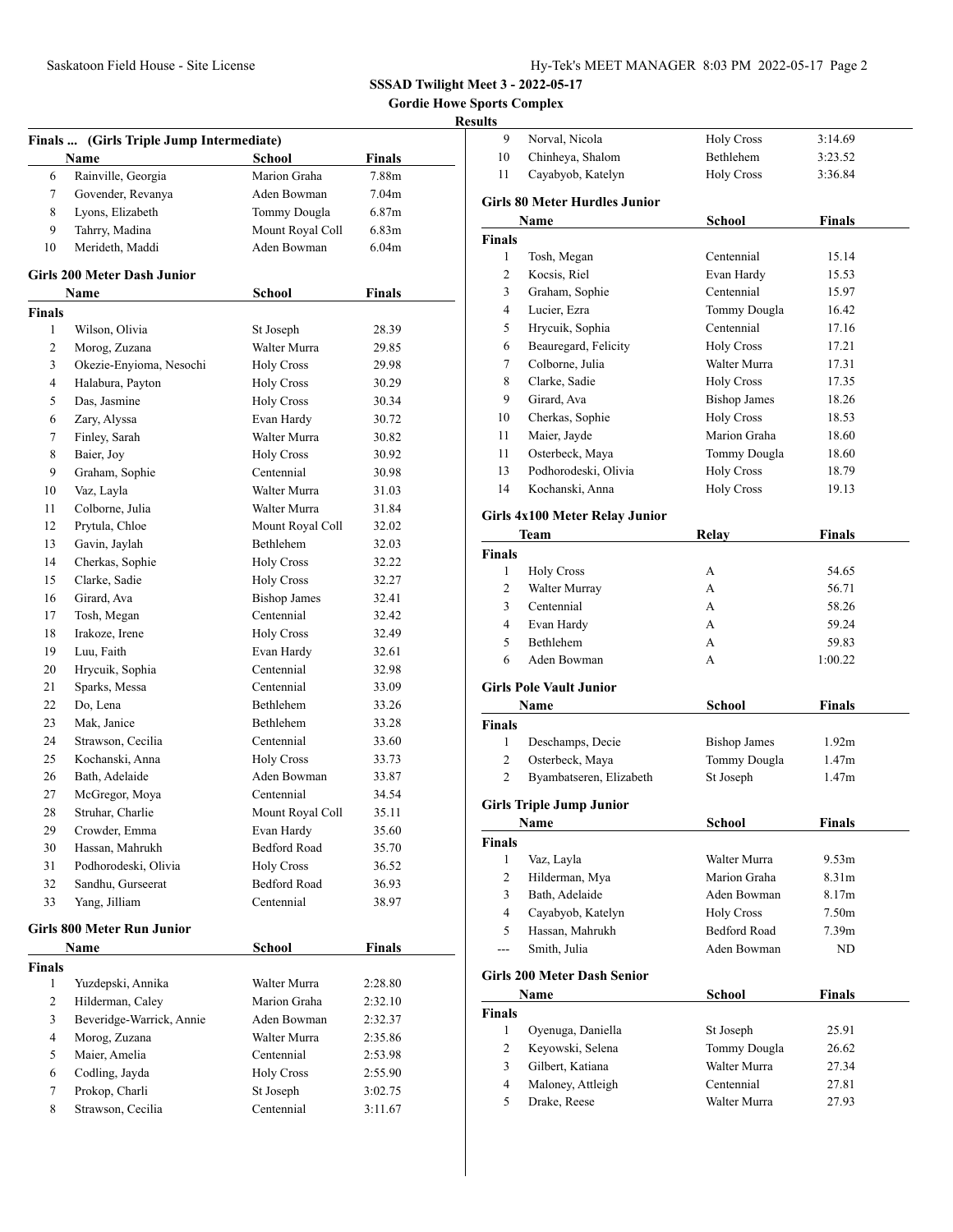**Gordie Howe Sports Complex**

# **Results**

|                | Finals  (Girls Triple Jump Intermediate) |                            |                   |  |
|----------------|------------------------------------------|----------------------------|-------------------|--|
|                | Name                                     | School                     | Finals            |  |
| 6              | Rainville, Georgia                       | Marion Graha               | 7.88m             |  |
| 7              | Govender, Revanya                        | Aden Bowman                | 7.04m             |  |
| 8              | Lyons, Elizabeth                         | Tommy Dougla               | 6.87 <sub>m</sub> |  |
| 9              | Tahrry, Madina                           | Mount Royal Coll           | 6.83 <sub>m</sub> |  |
| 10             | Merideth, Maddi                          | Aden Bowman                | 6.04 <sub>m</sub> |  |
|                | <b>Girls 200 Meter Dash Junior</b>       |                            |                   |  |
|                | Name                                     | School                     | Finals            |  |
| <b>Finals</b>  |                                          |                            |                   |  |
| 1              | Wilson, Olivia                           | St Joseph                  | 28.39             |  |
| 2              | Morog, Zuzana                            | Walter Murra               | 29.85             |  |
| 3              | Okezie-Enyioma, Nesochi                  | <b>Holy Cross</b>          | 29.98             |  |
| 4              | Halabura, Payton                         | <b>Holy Cross</b>          | 30.29             |  |
| 5              | Das, Jasmine                             | <b>Holy Cross</b>          | 30.34             |  |
| 6              | Zary, Alyssa                             | Evan Hardy                 | 30.72             |  |
| 7              | Finley, Sarah                            | Walter Murra               | 30.82             |  |
| 8              | Baier, Joy                               | <b>Holy Cross</b>          | 30.92             |  |
| 9              | Graham, Sophie                           | Centennial                 | 30.98             |  |
| 10             | Vaz, Layla                               | Walter Murra               | 31.03             |  |
| 11             | Colborne, Julia                          | Walter Murra               | 31.84             |  |
| 12             | Prytula, Chloe                           | Mount Royal Coll           | 32.02             |  |
| 13             | Gavin, Jaylah                            | <b>Bethlehem</b>           | 32.03             |  |
| 14             | Cherkas, Sophie                          | <b>Holy Cross</b>          | 32.22             |  |
| 15             | Clarke, Sadie                            | <b>Holy Cross</b>          | 32.27             |  |
| 16             | Girard, Ava                              | <b>Bishop James</b>        | 32.41             |  |
| 17             | Tosh, Megan                              | Centennial                 | 32.42             |  |
| 18             | Irakoze, Irene                           | <b>Holy Cross</b>          | 32.49             |  |
| 19             | Luu, Faith                               | Evan Hardy                 | 32.61             |  |
| 20             | Hrycuik, Sophia                          | Centennial                 | 32.98             |  |
| 21             | Sparks, Messa                            | Centennial                 | 33.09             |  |
| 22             | Do, Lena                                 | Bethlehem                  | 33.26             |  |
| 23             | Mak, Janice                              | Bethlehem                  | 33.28             |  |
| 24             | Strawson, Cecilia                        | Centennial                 | 33.60             |  |
| 25             | Kochanski, Anna                          | <b>Holy Cross</b>          | 33.73             |  |
| 26             | Bath, Adelaide                           | Aden Bowman                | 33.87             |  |
| 27             | McGregor, Moya                           | Centennial                 | 34.54             |  |
| 28             | Struhar, Charlie                         | Mount Royal Coll           | 35.11             |  |
|                | Crowder, Emma                            |                            |                   |  |
| 29<br>30       | Hassan, Mahrukh                          | Evan Hardy<br>Bedford Road | 35.60             |  |
|                |                                          |                            | 35.70             |  |
| 31             | Podhorodeski, Olivia                     | <b>Holy Cross</b>          | 36.52             |  |
| 32             | Sandhu, Gurseerat                        | <b>Bedford Road</b>        | 36.93             |  |
| 33             | Yang, Jilliam                            | Centennial                 | 38.97             |  |
|                | <b>Girls 800 Meter Run Junior</b>        |                            |                   |  |
|                | Name                                     | School                     | <b>Finals</b>     |  |
| <b>Finals</b>  |                                          |                            |                   |  |
| 1              | Yuzdepski, Annika                        | Walter Murra               | 2:28.80           |  |
| 2              | Hilderman, Caley                         | Marion Graha               | 2:32.10           |  |
| 3              | Beveridge-Warrick, Annie                 | Aden Bowman                | 2:32.37           |  |
| $\overline{4}$ | Morog, Zuzana                            | Walter Murra               | 2:35.86           |  |
| 5              | Maier, Amelia                            | Centennial                 | 2:53.98           |  |
| 6              | Codling, Jayda                           | <b>Holy Cross</b>          | 2:55.90           |  |
| 7              | Prokop, Charli                           | St Joseph                  | 3:02.75           |  |
| 8              | Strawson, Cecilia                        | Centennial                 | 3:11.67           |  |
|                |                                          |                            |                   |  |

| 9              | Norval. Nicola                        | <b>Holy Cross</b>   | 3:14.69           |  |
|----------------|---------------------------------------|---------------------|-------------------|--|
| 10             | Chinheya, Shalom                      | Bethlehem           | 3:23.52           |  |
| 11             | Cayabyob, Katelyn                     | <b>Holy Cross</b>   | 3:36.84           |  |
|                | <b>Girls 80 Meter Hurdles Junior</b>  |                     |                   |  |
|                | Name                                  | School              | <b>Finals</b>     |  |
| Finals         |                                       |                     |                   |  |
| 1              | Tosh, Megan                           | Centennial          | 15.14             |  |
| 2              | Kocsis, Riel                          | Evan Hardy          | 15.53             |  |
| 3              | Graham, Sophie                        | Centennial          | 15.97             |  |
| 4              | Lucier, Ezra                          | Tommy Dougla        | 16.42             |  |
| 5              | Hrycuik, Sophia                       | Centennial          | 17.16             |  |
| 6              | Beauregard, Felicity                  | <b>Holy Cross</b>   | 17.21             |  |
| 7              | Colborne, Julia                       | Walter Murra        | 17.31             |  |
| 8              | Clarke, Sadie                         | <b>Holy Cross</b>   | 17.35             |  |
| 9              | Girard, Ava                           | <b>Bishop James</b> | 18.26             |  |
| 10             | Cherkas, Sophie                       | <b>Holy Cross</b>   | 18.53             |  |
| 11             | Maier, Jayde                          | Marion Graha        | 18.60             |  |
| 11             | Osterbeck, Maya                       | Tommy Dougla        | 18.60             |  |
| 13             | Podhorodeski, Olivia                  | <b>Holy Cross</b>   | 18.79             |  |
| 14             | Kochanski, Anna                       | <b>Holy Cross</b>   | 19.13             |  |
|                |                                       |                     |                   |  |
|                | <b>Girls 4x100 Meter Relay Junior</b> |                     |                   |  |
|                | Team                                  | Relav               | Finals            |  |
| <b>Finals</b>  |                                       |                     |                   |  |
| 1              | <b>Holy Cross</b>                     | А                   | 54.65             |  |
| 2              | Walter Murray                         | A                   | 56.71             |  |
| 3              | Centennial                            | A                   | 58.26             |  |
| 4              | Evan Hardy                            | A                   | 59.24             |  |
| 5              | Bethlehem                             | А                   | 59.83             |  |
| 6              | Aden Bowman                           | А                   | 1:00.22           |  |
|                | <b>Girls Pole Vault Junior</b>        |                     |                   |  |
|                | <b>Name</b>                           | School              | Finals            |  |
| <b>Finals</b>  |                                       |                     |                   |  |
| 1              | Deschamps, Decie                      | <b>Bishop James</b> | 1.92 <sub>m</sub> |  |
| 2              | Osterbeck, Maya                       | Tommy Dougla        | 1.47 <sub>m</sub> |  |
| 2              | Byambatseren, Elizabeth               | St Joseph           | 1.47m             |  |
|                |                                       |                     |                   |  |
|                | <b>Girls Triple Jump Junior</b>       |                     |                   |  |
|                | Name                                  | <b>School</b>       | <b>Finals</b>     |  |
| <b>Finals</b>  |                                       |                     |                   |  |
| 1              | Vaz, Layla                            | Walter Murra        | 9.53m             |  |
| $\overline{2}$ | Hilderman, Mya                        | Marion Graha        | 8.31m             |  |
| 3              | Bath, Adelaide                        | Aden Bowman         | 8.17m             |  |
| $\overline{4}$ | Cayabyob, Katelyn                     | <b>Holy Cross</b>   | 7.50 <sub>m</sub> |  |
| 5              | Hassan, Mahrukh                       | Bedford Road        | 7.39 <sub>m</sub> |  |
| ---            | Smith, Julia                          | Aden Bowman         | ND                |  |
|                | <b>Girls 200 Meter Dash Senior</b>    |                     |                   |  |
|                | Name                                  | School              | <b>Finals</b>     |  |
| <b>Finals</b>  |                                       |                     |                   |  |
| 1              | Oyenuga, Daniella                     | St Joseph           | 25.91             |  |
| 2              | Keyowski, Selena                      | Tommy Dougla        | 26.62             |  |
| 3              | Gilbert, Katiana                      | Walter Murra        | 27.34             |  |
| $\overline{4}$ | Maloney, Attleigh                     | Centennial          | 27.81             |  |
| 5              | Drake, Reese                          | Walter Murra        | 27.93             |  |
|                |                                       |                     |                   |  |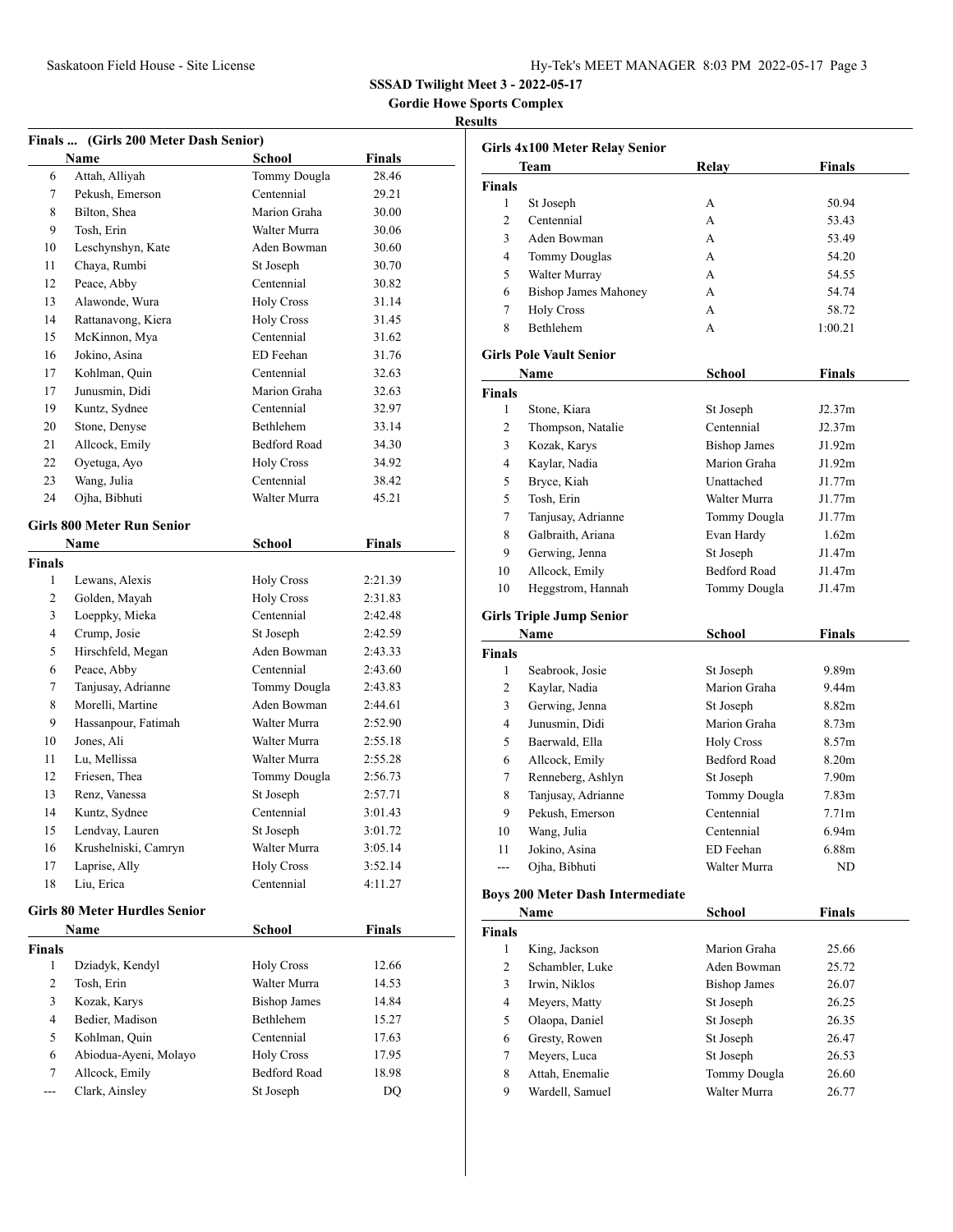**Gordie Howe Sports Complex**

### **Results**

|                | Finals  (Girls 200 Meter Dash Senior) |                     |               |
|----------------|---------------------------------------|---------------------|---------------|
|                | Name                                  | School              | <b>Finals</b> |
| 6              | Attah, Alliyah                        | Tommy Dougla        | 28.46         |
| $\tau$         | Pekush, Emerson                       | Centennial          | 29.21         |
| 8              | Bilton, Shea                          | Marion Graha        | 30.00         |
| 9              | Tosh, Erin                            | Walter Murra        | 30.06         |
| 10             | Leschynshyn, Kate                     | Aden Bowman         | 30.60         |
| 11             | Chaya, Rumbi                          | St Joseph           | 30.70         |
| 12             | Peace, Abby                           | Centennial          | 30.82         |
| 13             | Alawonde, Wura                        | <b>Holy Cross</b>   | 31.14         |
| 14             | Rattanavong, Kiera                    | <b>Holy Cross</b>   | 31.45         |
| 15             | McKinnon, Mya                         | Centennial          | 31.62         |
| 16             | Jokino, Asina                         | ED Feehan           | 31.76         |
| 17             | Kohlman, Quin                         | Centennial          | 32.63         |
| 17             | Junusmin, Didi                        | Marion Graha        | 32.63         |
| 19             | Kuntz, Sydnee                         | Centennial          | 32.97         |
| 20             | Stone, Denyse                         | Bethlehem           | 33.14         |
| 21             | Allcock, Emily                        | <b>Bedford Road</b> | 34.30         |
| 22             | Oyetuga, Ayo                          | <b>Holy Cross</b>   | 34.92         |
| 23             | Wang, Julia                           | Centennial          | 38.42         |
| 24             | Ojha, Bibhuti                         | Walter Murra        | 45.21         |
|                |                                       |                     |               |
|                | <b>Girls 800 Meter Run Senior</b>     |                     |               |
|                | Name                                  | <b>School</b>       | Finals        |
| <b>Finals</b>  |                                       |                     |               |
| 1              | Lewans, Alexis                        | <b>Holy Cross</b>   | 2:21.39       |
| 2              | Golden, Mayah                         | <b>Holy Cross</b>   | 2:31.83       |
| 3              | Loeppky, Mieka                        | Centennial          | 2:42.48       |
| $\overline{4}$ | Crump, Josie                          | St Joseph           | 2:42.59       |
| 5              | Hirschfeld, Megan                     | Aden Bowman         | 2:43.33       |
| 6              | Peace, Abby                           | Centennial          | 2:43.60       |
| 7              | Tanjusay, Adrianne                    | Tommy Dougla        | 2:43.83       |
| 8              | Morelli, Martine                      | Aden Bowman         | 2:44.61       |
| 9              | Hassanpour, Fatimah                   | Walter Murra        | 2:52.90       |
| 10             | Jones, Ali                            | Walter Murra        | 2:55.18       |
| 11             | Lu, Mellissa                          | Walter Murra        | 2:55.28       |
| 12             | Friesen, Thea                         | Tommy Dougla        | 2:56.73       |
| 13             | Renz, Vanessa                         | St Joseph           | 2:57.71       |
| 14             | Kuntz, Sydnee                         | Centennial          | 3:01.43       |
| 15             | Lendvay, Lauren                       | St Joseph           | 3:01.72       |
| 16             | Krushelniski, Camryn                  | Walter Murra        | 3:05.14       |
| 17             | Laprise, Ally                         | <b>Holy Cross</b>   | 3:52.14       |
| 18             | Liu, Erica                            | Centennial          | 4:11.27       |
|                | <b>Girls 80 Meter Hurdles Senior</b>  |                     |               |
|                | Name                                  | <b>School</b>       | Finals        |
| Finals         |                                       |                     |               |
| 1              | Dziadyk, Kendyl                       | <b>Holy Cross</b>   | 12.66         |
| $\mathbf{2}$   | Tosh, Erin                            | Walter Murra        | 14.53         |
| 3              | Kozak, Karys                          | <b>Bishop James</b> | 14.84         |
| 4              | Bedier, Madison                       | Bethlehem           | 15.27         |
| 5              | Kohlman, Quin                         | Centennial          | 17.63         |
| 6              | Abiodua-Ayeni, Molayo                 | <b>Holy Cross</b>   | 17.95         |
| $\tau$         | Allcock, Emily                        | <b>Bedford Road</b> | 18.98         |
| ---            | Clark, Ainsley                        | St Joseph           | <b>DQ</b>     |
|                |                                       |                     |               |

|               | Girls 4x100 Meter Relay Senior          |                         |                   |  |
|---------------|-----------------------------------------|-------------------------|-------------------|--|
|               | Team                                    | Relay                   | <b>Finals</b>     |  |
| <b>Finals</b> |                                         |                         |                   |  |
| 1             | St Joseph                               | А                       | 50.94             |  |
| 2             | Centennial                              | A                       | 53.43             |  |
| 3             | Aden Bowman                             | A                       | 53.49             |  |
| 4             | <b>Tommy Douglas</b>                    | A                       | 54.20             |  |
| 5             | Walter Murray                           | A                       | 54.55             |  |
| 6             | <b>Bishop James Mahoney</b>             | A                       | 54.74             |  |
| 7             | <b>Holy Cross</b>                       | A                       | 58.72             |  |
| 8             | Bethlehem                               | А                       | 1:00.21           |  |
|               | <b>Girls Pole Vault Senior</b>          |                         |                   |  |
|               | Name                                    | School                  | Finals            |  |
| Finals        |                                         |                         |                   |  |
| 1             | Stone, Kiara                            | St Joseph               | J2.37m            |  |
| 2             | Thompson, Natalie                       | Centennial              | J2.37m            |  |
| 3             | Kozak, Karys                            | <b>Bishop James</b>     | J1.92m            |  |
| 4             | Kaylar, Nadia                           | Marion Graha            | J1.92m            |  |
| 5             | Bryce, Kiah                             | Unattached              | J1.77m            |  |
| 5             | Tosh, Erin                              | Walter Murra            | J1.77m            |  |
| 7             | Tanjusay, Adrianne                      | Tommy Dougla            | J1.77m            |  |
| 8             | Galbraith, Ariana                       | Evan Hardy              | 1.62m             |  |
| 9             | Gerwing, Jenna                          | St Joseph               | J1.47m            |  |
| 10            | Allcock, Emily                          | <b>Bedford Road</b>     | J1.47m            |  |
| 10            | Heggstrom, Hannah                       | Tommy Dougla            | J1.47m            |  |
|               |                                         |                         |                   |  |
|               | <b>Girls Triple Jump Senior</b>         |                         |                   |  |
|               | Name                                    | School                  | <b>Finals</b>     |  |
| Finals<br>1   | Seabrook, Josie                         | St Joseph               | 9.89m             |  |
| 2             | Kaylar, Nadia                           | Marion Graha            | 9.44m             |  |
| 3             | Gerwing, Jenna                          | St Joseph               | 8.82m             |  |
| 4             | Junusmin, Didi                          | Marion Graha            | 8.73 <sub>m</sub> |  |
| 5             | Baerwald, Ella                          | <b>Holy Cross</b>       | 8.57m             |  |
| 6             | Allcock, Emily                          | Bedford Road            | 8.20m             |  |
| 7             | Renneberg, Ashlyn                       | St Joseph               | 7.90m             |  |
| 8             | Tanjusay, Adrianne                      | Tommy Dougla            | 7.83 <sub>m</sub> |  |
| 9             | Pekush, Emerson                         | Centennial              | 7.71m             |  |
|               |                                         |                         |                   |  |
| 10<br>11      | Wang, Julia                             | Centennial<br>ED Feehan | 6.94m             |  |
| $-$           | Jokino, Asina                           |                         | 6.88m             |  |
|               | Ojha, Bibhuti                           | Walter Murra            | ND                |  |
|               | <b>Boys 200 Meter Dash Intermediate</b> |                         |                   |  |
|               | Name                                    | School                  | Finals            |  |
| <b>Finals</b> |                                         |                         |                   |  |
| 1             | King, Jackson                           | Marion Graha            | 25.66             |  |
| 2             | Schambler, Luke                         | Aden Bowman             | 25.72             |  |
| 3             | Irwin, Niklos                           | <b>Bishop James</b>     | 26.07             |  |
| 4             | Meyers, Matty                           | St Joseph               | 26.25             |  |
| 5             | Olaopa, Daniel                          | St Joseph               | 26.35             |  |
| 6             | Gresty, Rowen                           | St Joseph               | 26.47             |  |
| 7             | Meyers, Luca                            | St Joseph               | 26.53             |  |
| 8             | Attah, Enemalie                         | Tommy Dougla            | 26.60             |  |
| 9             | Wardell, Samuel                         | Walter Murra            | 26.77             |  |
|               |                                         |                         |                   |  |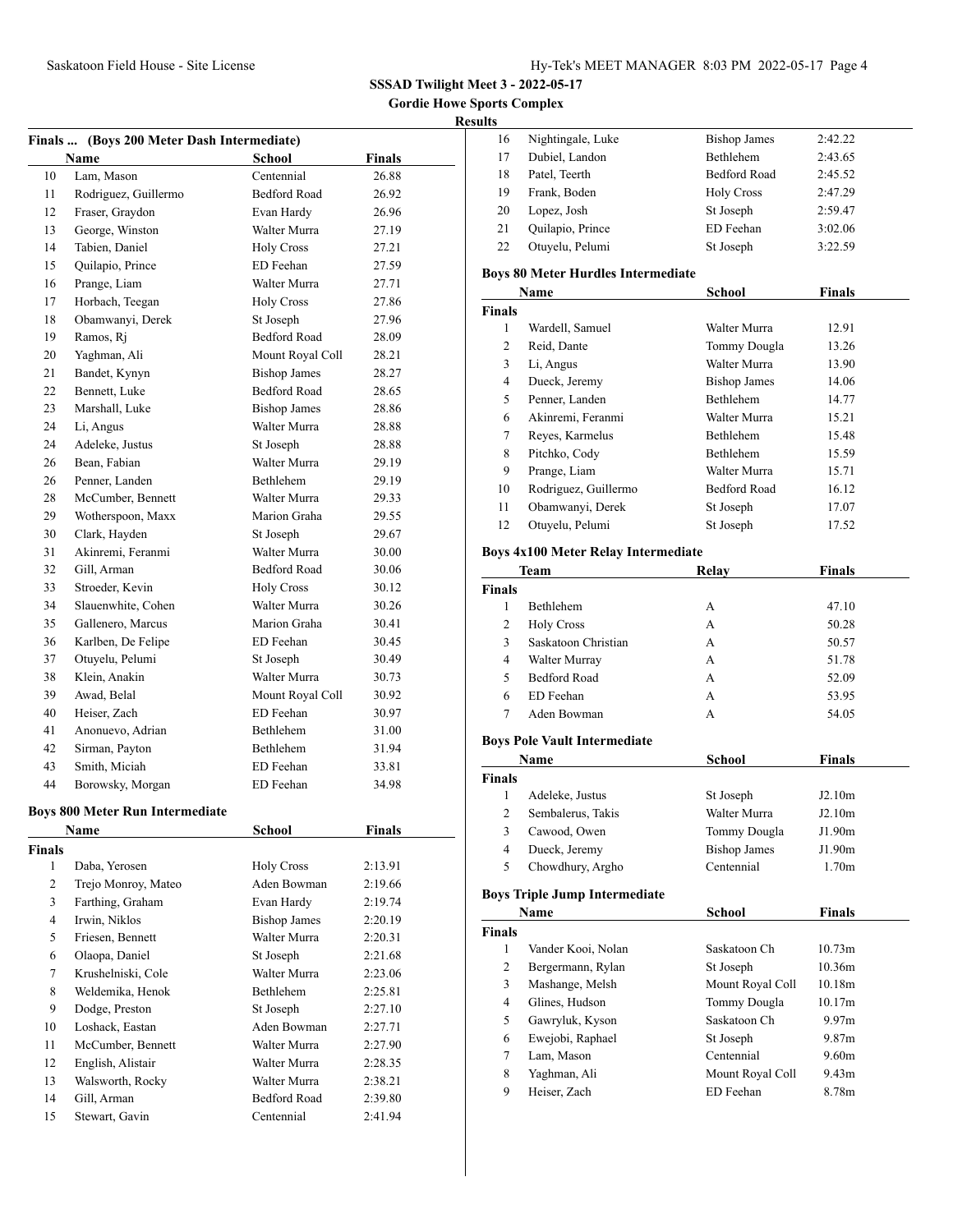**Gordie Howe Sports Complex**

### **Results**

|    | Finals  (Boys 200 Meter Dash Intermediate) |                     |               |
|----|--------------------------------------------|---------------------|---------------|
|    | Name                                       | <b>School</b>       | <b>Finals</b> |
| 10 | Lam, Mason                                 | Centennial          | 26.88         |
| 11 | Rodriguez, Guillermo                       | <b>Bedford Road</b> | 26.92         |
| 12 | Fraser, Graydon                            | Evan Hardy          | 26.96         |
| 13 | George, Winston                            | Walter Murra        | 27.19         |
| 14 | Tabien, Daniel                             | <b>Holy Cross</b>   | 27.21         |
| 15 | Quilapio, Prince                           | ED Feehan           | 27.59         |
| 16 | Prange, Liam                               | Walter Murra        | 27.71         |
| 17 | Horbach, Teegan                            | <b>Holy Cross</b>   | 27.86         |
| 18 | Obamwanyi, Derek                           | St Joseph           | 27.96         |
| 19 | Ramos, Rj                                  | <b>Bedford Road</b> | 28.09         |
| 20 | Yaghman, Ali                               | Mount Royal Coll    | 28.21         |
| 21 | Bandet, Kynyn                              | <b>Bishop James</b> | 28.27         |
| 22 | Bennett, Luke                              | <b>Bedford Road</b> | 28.65         |
| 23 | Marshall, Luke                             | <b>Bishop James</b> | 28.86         |
| 24 | Li, Angus                                  | Walter Murra        | 28.88         |
| 24 | Adeleke, Justus                            | St Joseph           | 28.88         |
| 26 | Bean, Fabian                               | Walter Murra        | 29.19         |
| 26 | Penner, Landen                             | <b>Bethlehem</b>    | 29.19         |
| 28 | McCumber, Bennett                          | Walter Murra        | 29.33         |
| 29 | Wotherspoon, Maxx                          | Marion Graha        | 29.55         |
| 30 | Clark, Hayden                              | St Joseph           | 29.67         |
| 31 | Akinremi, Feranmi                          | Walter Murra        | 30.00         |
| 32 | Gill, Arman                                | <b>Bedford Road</b> | 30.06         |
| 33 | Stroeder, Kevin                            | <b>Holy Cross</b>   | 30.12         |
| 34 | Slauenwhite, Cohen                         | Walter Murra        | 30.26         |
| 35 | Gallenero, Marcus                          | Marion Graha        | 30.41         |
| 36 | Karlben, De Felipe                         | ED Feehan           | 30.45         |
| 37 | Otuyelu, Pelumi                            | St Joseph           | 30.49         |
| 38 | Klein, Anakin                              | Walter Murra        | 30.73         |
| 39 | Awad, Belal                                | Mount Royal Coll    | 30.92         |
| 40 | Heiser, Zach                               | ED Feehan           | 30.97         |
| 41 | Anonuevo, Adrian                           | <b>Bethlehem</b>    | 31.00         |
| 42 | Sirman, Payton                             | <b>Bethlehem</b>    | 31.94         |
| 43 | Smith, Miciah                              | ED Feehan           | 33.81         |
| 44 | Borowsky, Morgan                           | ED Feehan           | 34.98         |

### **Boys 800 Meter Run Intermediate**

|               | Name                | School              | <b>Finals</b> |  |
|---------------|---------------------|---------------------|---------------|--|
| <b>Finals</b> |                     |                     |               |  |
| 1             | Daba, Yerosen       | <b>Holy Cross</b>   | 2:13.91       |  |
| 2             | Trejo Monroy, Mateo | Aden Bowman         | 2:19.66       |  |
| 3             | Farthing, Graham    | Evan Hardy          | 2:19.74       |  |
| 4             | Irwin, Niklos       | <b>Bishop James</b> | 2:20.19       |  |
| 5             | Friesen, Bennett    | Walter Murra        | 2:20.31       |  |
| 6             | Olaopa, Daniel      | St Joseph           | 2:21.68       |  |
| 7             | Krushelniski, Cole  | Walter Murra        | 2:23.06       |  |
| 8             | Weldemika, Henok    | Bethlehem           | 2:25.81       |  |
| 9             | Dodge, Preston      | St Joseph           | 2:27.10       |  |
| 10            | Loshack, Eastan     | Aden Bowman         | 2:27.71       |  |
| 11            | McCumber, Bennett   | Walter Murra        | 2:27.90       |  |
| 12            | English, Alistair   | Walter Murra        | 2:28.35       |  |
| 13            | Walsworth, Rocky    | Walter Murra        | 2:38.21       |  |
| 14            | Gill, Arman         | Bedford Road        | 2:39.80       |  |
| 15            | Stewart, Gavin      | Centennial          | 2:41.94       |  |

| . . |                   |                     |         |
|-----|-------------------|---------------------|---------|
| 16  | Nightingale, Luke | <b>Bishop James</b> | 2:42.22 |
| 17  | Dubiel, Landon    | Bethlehem           | 2:43.65 |
| 18  | Patel, Teerth     | <b>Bedford Road</b> | 2:45.52 |
| 19  | Frank, Boden      | <b>Holy Cross</b>   | 2:47.29 |
| 20  | Lopez, Josh       | St Joseph           | 2:59.47 |
| 21  | Quilapio, Prince  | ED Feehan           | 3:02.06 |
| 22  | Otuyelu, Pelumi   | St Joseph           | 3:22.59 |

### **Boys 80 Meter Hurdles Intermediate**

| Name          |                      | School              | <b>Finals</b> |  |
|---------------|----------------------|---------------------|---------------|--|
| <b>Finals</b> |                      |                     |               |  |
| 1             | Wardell, Samuel      | Walter Murra        | 12.91         |  |
| 2             | Reid, Dante          | <b>Tommy Dougla</b> | 13.26         |  |
| 3             | Li, Angus            | Walter Murra        | 13.90         |  |
| 4             | Dueck, Jeremy        | <b>Bishop James</b> | 14.06         |  |
| 5             | Penner, Landen       | <b>Bethlehem</b>    | 14.77         |  |
| 6             | Akinremi, Feranmi    | Walter Murra        | 15.21         |  |
| 7             | Reyes, Karmelus      | <b>Bethlehem</b>    | 15.48         |  |
| 8             | Pitchko, Cody        | <b>Bethlehem</b>    | 15.59         |  |
| 9             | Prange, Liam         | Walter Murra        | 15.71         |  |
| 10            | Rodriguez, Guillermo | <b>Bedford Road</b> | 16.12         |  |
| 11            | Obamwanyi, Derek     | St Joseph           | 17.07         |  |
| 12            | Otuyelu, Pelumi      | St Joseph           | 17.52         |  |

### **Boys 4x100 Meter Relay Intermediate**

|                | Team                                 | Relay               | <b>Finals</b> |  |
|----------------|--------------------------------------|---------------------|---------------|--|
| <b>Finals</b>  |                                      |                     |               |  |
| 1              | <b>Bethlehem</b>                     | A                   | 47.10         |  |
| 2              | <b>Holy Cross</b>                    | A                   | 50.28         |  |
| 3              | Saskatoon Christian                  | A                   | 50.57         |  |
| $\overline{4}$ | Walter Murray                        | A                   | 51.78         |  |
| 5              | <b>Bedford Road</b>                  | A                   | 52.09         |  |
| 6              | ED Feehan                            | A                   | 53.95         |  |
| 7              | Aden Bowman                          | A                   | 54.05         |  |
|                | <b>Boys Pole Vault Intermediate</b>  |                     |               |  |
|                | Name                                 | School              | <b>Finals</b> |  |
| <b>Finals</b>  |                                      |                     |               |  |
| 1              | Adeleke, Justus                      | St Joseph           | J2.10m        |  |
| $\overline{c}$ | Sembalerus, Takis                    | Walter Murra        | J2.10m        |  |
| 3              | Cawood, Owen                         | Tommy Dougla        | J1.90m        |  |
| 4              | Dueck, Jeremy                        | <b>Bishop James</b> | J1.90m        |  |
| 5              | Chowdhury, Argho                     | Centennial          | 1.70m         |  |
|                | <b>Boys Triple Jump Intermediate</b> |                     |               |  |
|                | Name                                 | School              | <b>Finals</b> |  |
| <b>Finals</b>  |                                      |                     |               |  |
| 1              | Vander Kooi, Nolan                   | Saskatoon Ch        | 10.73m        |  |
| 2              | Bergermann, Rylan                    | St Joseph           | 10.36m        |  |

| 3 | Mashange, Melsh  | Mount Royal Coll | 10.18m            |
|---|------------------|------------------|-------------------|
| 4 | Glines, Hudson   | Tommy Dougla     | 10.17m            |
|   | Gawryluk, Kyson  | Saskatoon Ch     | 9.97 <sub>m</sub> |
| 6 | Ewejobi, Raphael | St Joseph        | 9.87m             |
|   | Lam, Mason       | Centennial       | 9.60 <sub>m</sub> |
| 8 | Yaghman, Ali     | Mount Royal Coll | 9.43 <sub>m</sub> |
| 9 | Heiser, Zach     | ED Feehan        | 8.78m             |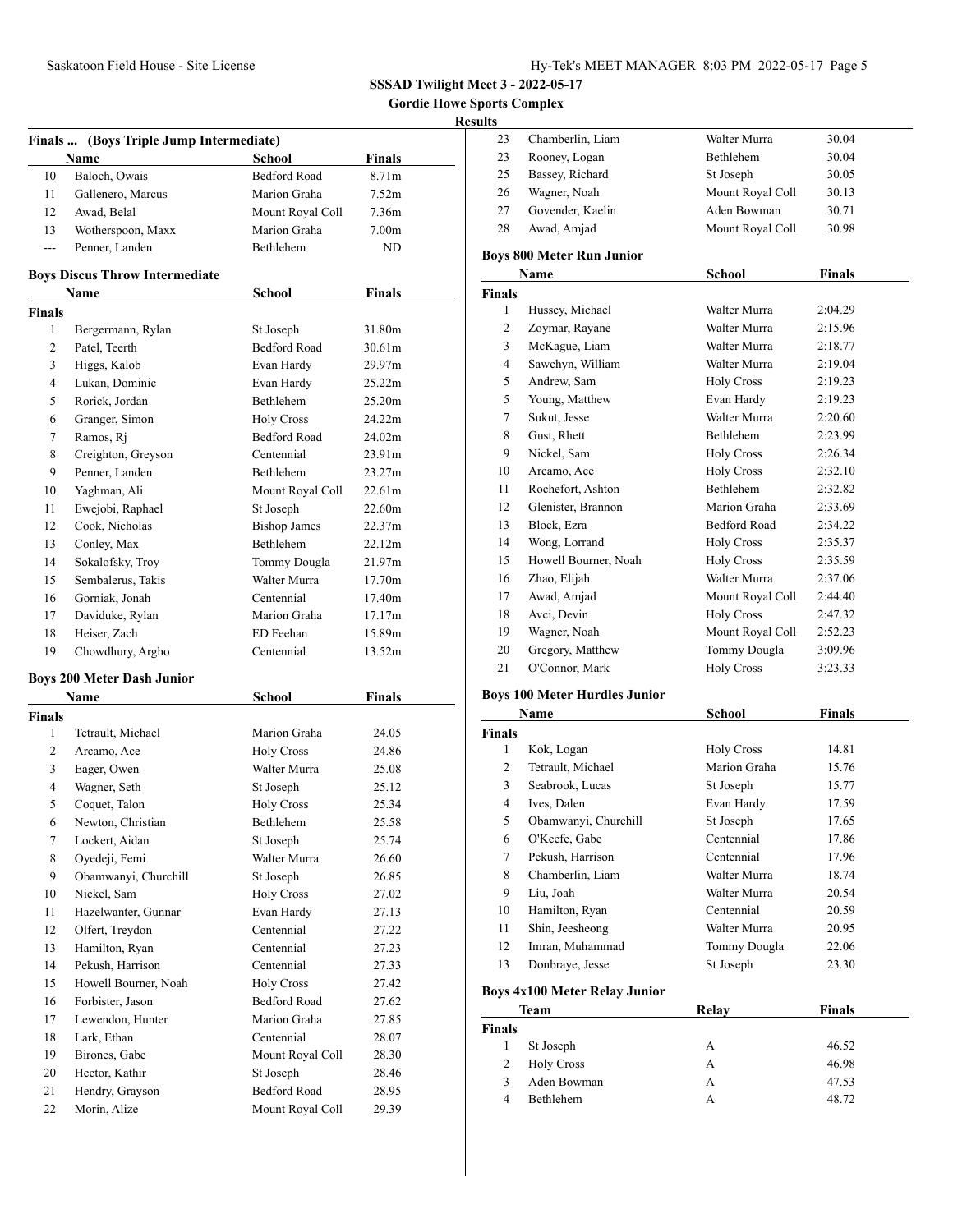**Gordie Howe Sports Complex**

# **Results**

|                | Finals  (Boys Triple Jump Intermediate) |                     |                   |  |  |
|----------------|-----------------------------------------|---------------------|-------------------|--|--|
|                | Name                                    | School              | <b>Finals</b>     |  |  |
| 10             | Baloch, Owais                           | <b>Bedford Road</b> | 8.71m             |  |  |
| 11             | Gallenero, Marcus                       | Marion Graha        | 7.52m             |  |  |
| 12             | Awad, Belal                             | Mount Royal Coll    | 7.36m             |  |  |
| 13             | Wotherspoon, Maxx                       | Marion Graha        | 7.00 <sub>m</sub> |  |  |
| $\overline{a}$ | Penner, Landen                          | <b>Bethlehem</b>    | ND                |  |  |
|                | <b>Boys Discus Throw Intermediate</b>   |                     |                   |  |  |
|                | Name                                    | <b>School</b>       | Finals            |  |  |
| <b>Finals</b>  |                                         |                     |                   |  |  |
| $\mathbf{1}$   | Bergermann, Rylan                       | St Joseph           | 31.80m            |  |  |
| 2              | Patel, Teerth                           | <b>Bedford Road</b> | 30.61m            |  |  |
| 3              | Higgs, Kalob                            | Evan Hardy          | 29.97m            |  |  |
| 4              | Lukan, Dominic                          | Evan Hardy          | 25.22m            |  |  |
| 5              | Rorick, Jordan                          | Bethlehem           | 25.20m            |  |  |
| 6              | Granger, Simon                          | <b>Holy Cross</b>   | 24.22m            |  |  |
| 7              | Ramos, Rj                               | <b>Bedford Road</b> | 24.02m            |  |  |
| 8              | Creighton, Greyson                      | Centennial          | 23.91m            |  |  |
| 9              | Penner, Landen                          | Bethlehem           | 23.27m            |  |  |
| 10             | Yaghman, Ali                            | Mount Royal Coll    | 22.61m            |  |  |
| 11             | Ewejobi, Raphael                        | St Joseph           | 22.60m            |  |  |
| 12             | Cook, Nicholas                          | <b>Bishop James</b> | 22.37m            |  |  |
| 13             | Conley, Max                             | Bethlehem           | 22.12m            |  |  |
| 14             | Sokalofsky, Troy                        | Tommy Dougla        | 21.97m            |  |  |
| 15             | Sembalerus, Takis                       | Walter Murra        | 17.70m            |  |  |
| 16             | Gorniak, Jonah                          | Centennial          | 17.40m            |  |  |
| 17             | Daviduke, Rylan                         | Marion Graha        | 17.17m            |  |  |
| 18             | Heiser, Zach                            | ED Feehan           | 15.89m            |  |  |
| 19             | Chowdhury, Argho                        | Centennial          | 13.52m            |  |  |
|                | <b>Boys 200 Meter Dash Junior</b>       |                     |                   |  |  |
|                | <b>Name</b>                             | School              | <b>Finals</b>     |  |  |
| Finals         |                                         |                     |                   |  |  |
| 1              | Tetrault, Michael                       | Marion Graha        | 24.05             |  |  |
| 2              | Arcamo, Ace                             | <b>Holy Cross</b>   | 24.86             |  |  |
| 3              | Eager, Owen                             | Walter Murra        | 25.08             |  |  |
| 4              | Wagner, Seth                            | St Joseph           | 25.12             |  |  |
| 5              | Coquet, Talon                           | <b>Holy Cross</b>   | 25.34             |  |  |
| 6              | Newton, Christian                       | Bethlehem           | 25.58             |  |  |
| 7              | Lockert, Aidan                          | St Joseph           | 25.74             |  |  |
| 8              | Oyedeji, Femi                           | Walter Murra        | 26.60             |  |  |
| 9              | Obamwanyi, Churchill                    | St Joseph           | 26.85             |  |  |
| 10             | Nickel, Sam                             | <b>Holy Cross</b>   | 27.02             |  |  |
| 11             | Hazelwanter, Gunnar                     | Evan Hardy          | 27.13             |  |  |
| 12             | Olfert, Treydon                         | Centennial          | 27.22             |  |  |
| 13             | Hamilton, Ryan                          | Centennial          | 27.23             |  |  |
| 14             | Pekush, Harrison                        | Centennial          | 27.33             |  |  |
| 15             | Howell Bourner, Noah                    | <b>Holy Cross</b>   | 27.42             |  |  |
| 16             | Forbister, Jason                        | <b>Bedford Road</b> | 27.62             |  |  |
| 17             | Lewendon, Hunter                        | Marion Graha        | 27.85             |  |  |
| 18             | Lark, Ethan                             | Centennial          | 28.07             |  |  |
| 19             | Birones, Gabe                           | Mount Royal Coll    | 28.30             |  |  |
| 20             | Hector, Kathir                          | St Joseph           | 28.46             |  |  |
| 21             | Hendry, Grayson                         | <b>Bedford Road</b> | 28.95             |  |  |
| 22             | Morin, Alize                            | Mount Royal Coll    | 29.39             |  |  |

| 23             | Chamberlin, Liam                     | Walter Murra        | 30.04         |  |  |
|----------------|--------------------------------------|---------------------|---------------|--|--|
| 23             | Rooney, Logan                        | Bethlehem           | 30.04         |  |  |
| 25             | Bassey, Richard                      | St Joseph           | 30.05         |  |  |
| 26             | Wagner, Noah                         | Mount Royal Coll    | 30.13         |  |  |
| 27             | Govender, Kaelin                     | Aden Bowman         | 30.71         |  |  |
| 28             | Awad, Amjad                          | Mount Royal Coll    | 30.98         |  |  |
|                | <b>Boys 800 Meter Run Junior</b>     |                     |               |  |  |
|                | Name                                 | School              | <b>Finals</b> |  |  |
| <b>Finals</b>  |                                      |                     |               |  |  |
| 1              | Hussey, Michael                      | Walter Murra        | 2:04.29       |  |  |
| $\overline{c}$ | Zoymar, Rayane                       | Walter Murra        | 2:15.96       |  |  |
| 3              | McKague, Liam                        | Walter Murra        | 2:18.77       |  |  |
| 4              | Sawchyn, William                     | Walter Murra        | 2:19.04       |  |  |
| 5              | Andrew, Sam                          | <b>Holy Cross</b>   | 2:19.23       |  |  |
| 5              | Young, Matthew                       | Evan Hardy          | 2:19.23       |  |  |
| 7              | Sukut, Jesse                         | Walter Murra        | 2:20.60       |  |  |
| 8              | Gust, Rhett                          | <b>Bethlehem</b>    | 2:23.99       |  |  |
| 9              | Nickel, Sam                          | <b>Holy Cross</b>   | 2:26.34       |  |  |
| 10             | Arcamo, Ace                          | <b>Holy Cross</b>   | 2:32.10       |  |  |
| 11             | Rochefort, Ashton                    | <b>Bethlehem</b>    | 2:32.82       |  |  |
| 12             | Glenister, Brannon                   | Marion Graha        | 2:33.69       |  |  |
| 13             | Block, Ezra                          | <b>Bedford Road</b> | 2:34.22       |  |  |
| 14             | Wong, Lorrand                        | <b>Holy Cross</b>   | 2:35.37       |  |  |
| 15             | Howell Bourner, Noah                 | <b>Holy Cross</b>   | 2:35.59       |  |  |
| 16             | Zhao, Elijah                         | Walter Murra        | 2:37.06       |  |  |
| 17             | Awad, Amjad                          | Mount Royal Coll    | 2:44.40       |  |  |
| 18             | Avci, Devin                          | <b>Holy Cross</b>   | 2:47.32       |  |  |
| 19             | Wagner, Noah                         | Mount Royal Coll    | 2:52.23       |  |  |
| 20             | Gregory, Matthew                     | Tommy Dougla        | 3:09.96       |  |  |
| 21             | O'Connor, Mark                       | <b>Holy Cross</b>   | 3:23.33       |  |  |
|                | <b>Boys 100 Meter Hurdles Junior</b> |                     |               |  |  |

# **Boys 100 Meter Hurdles Junior**

| Name          |                      | School            | <b>Finals</b> |  |
|---------------|----------------------|-------------------|---------------|--|
| <b>Finals</b> |                      |                   |               |  |
| 1             | Kok, Logan           | <b>Holy Cross</b> | 14.81         |  |
| 2             | Tetrault, Michael    | Marion Graha      | 15.76         |  |
| 3             | Seabrook, Lucas      | St Joseph         | 15.77         |  |
| 4             | Ives, Dalen          | Evan Hardy        | 17.59         |  |
| 5             | Obamwanyi, Churchill | St Joseph         | 17.65         |  |
| 6             | O'Keefe, Gabe        | Centennial        | 17.86         |  |
| 7             | Pekush, Harrison     | Centennial        | 17.96         |  |
| 8             | Chamberlin, Liam     | Walter Murra      | 18.74         |  |
| 9             | Liu, Joah            | Walter Murra      | 20.54         |  |
| 10            | Hamilton, Ryan       | Centennial        | 20.59         |  |
| 11            | Shin, Jeesheong      | Walter Murra      | 20.95         |  |
| 12            | Imran, Muhammad      | Tommy Dougla      | 22.06         |  |
| 13            | Donbraye, Jesse      | St Joseph         | 23.30         |  |

# **Boys 4x100 Meter Relay Junior**

|               | Team              | Relay | <b>Finals</b> |  |
|---------------|-------------------|-------|---------------|--|
| <b>Finals</b> |                   |       |               |  |
|               | St Joseph         | А     | 46.52         |  |
| 2             | <b>Holy Cross</b> | А     | 46.98         |  |
| $\mathcal{R}$ | Aden Bowman       | А     | 47.53         |  |
| 4             | <b>Bethlehem</b>  | А     | 48.72         |  |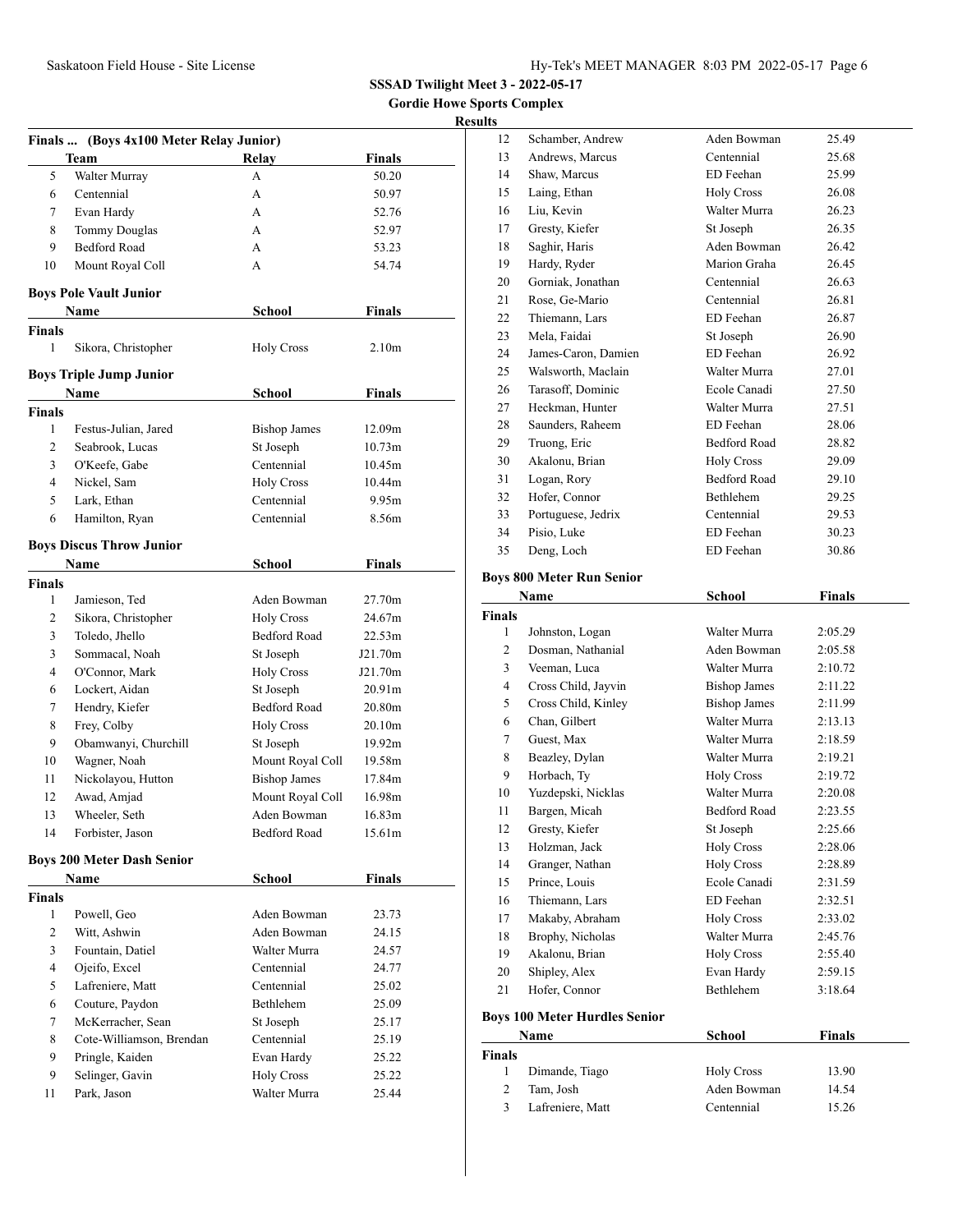**Gordie Howe Sports Complex**

### **Results**

| Finals  (Boys 4x100 Meter Relay Junior) |                                   |                     |                    |  |
|-----------------------------------------|-----------------------------------|---------------------|--------------------|--|
|                                         | Team                              | <b>Relay</b>        | Finals             |  |
| 5                                       | Walter Murray                     | A                   | 50.20              |  |
| 6                                       | Centennial                        | А                   | 50.97              |  |
| 7                                       | Evan Hardy                        | А                   | 52.76              |  |
| 8                                       | <b>Tommy Douglas</b>              | A                   | 52.97              |  |
| 9                                       | <b>Bedford Road</b>               | A                   | 53.23              |  |
| 10                                      | Mount Royal Coll                  | A                   | 54.74              |  |
|                                         | <b>Boys Pole Vault Junior</b>     |                     |                    |  |
|                                         | Name                              | School              | <b>Finals</b>      |  |
| Finals                                  |                                   |                     |                    |  |
| 1                                       | Sikora, Christopher               | <b>Holy Cross</b>   | 2.10 <sub>m</sub>  |  |
|                                         | Boys Triple Jump Junior           |                     |                    |  |
|                                         | Name                              | <b>School</b>       | <b>Finals</b>      |  |
| Finals                                  |                                   |                     |                    |  |
| 1                                       | Festus-Julian, Jared              | <b>Bishop James</b> | 12.09m             |  |
| 2                                       | Seabrook, Lucas                   | St Joseph           | 10.73 <sub>m</sub> |  |
| 3                                       | O'Keefe, Gabe                     | Centennial          | 10.45m             |  |
| 4                                       | Nickel, Sam                       | <b>Holy Cross</b>   | 10.44m             |  |
| 5                                       | Lark, Ethan                       | Centennial          | 9.95m              |  |
| 6                                       | Hamilton, Ryan                    | Centennial          | 8.56m              |  |
|                                         | <b>Boys Discus Throw Junior</b>   |                     |                    |  |
|                                         | Name                              | School              | Finals             |  |
| Finals                                  |                                   |                     |                    |  |
| 1                                       | Jamieson, Ted                     | Aden Bowman         | 27.70m             |  |
| 2                                       | Sikora, Christopher               | <b>Holy Cross</b>   | 24.67m             |  |
| 3                                       | Toledo, Jhello                    | <b>Bedford Road</b> | 22.53m             |  |
| 3                                       | Sommacal, Noah                    | St Joseph           | J21.70m            |  |
| 4                                       | O'Connor, Mark                    | <b>Holy Cross</b>   | J21.70m            |  |
| 6                                       | Lockert, Aidan                    | St Joseph           | 20.91m             |  |
| 7                                       | Hendry, Kiefer                    | Bedford Road        | 20.80m             |  |
| 8                                       | Frey, Colby                       | <b>Holy Cross</b>   | 20.10m             |  |
| 9                                       | Obamwanyi, Churchill              | St Joseph           | 19.92m             |  |
| 10                                      | Wagner, Noah                      | Mount Royal Coll    | 19.58m             |  |
| 11                                      | Nickolayou, Hutton                | <b>Bishop James</b> | 17.84m             |  |
| 12                                      | Awad, Amjad                       | Mount Royal Coll    | 16.98m             |  |
| 13                                      | Wheeler, Seth                     | Aden Bowman         | 16.83m             |  |
| 14                                      | Forbister, Jason                  | <b>Bedford Road</b> | 15.61m             |  |
|                                         | <b>Boys 200 Meter Dash Senior</b> |                     |                    |  |
|                                         | Name                              | School              | <b>Finals</b>      |  |
| Finals                                  |                                   |                     |                    |  |
| $\mathbf{1}$                            | Powell, Geo                       | Aden Bowman         | 23.73              |  |
| 2                                       | Witt, Ashwin                      | Aden Bowman         | 24.15              |  |
| 3                                       | Fountain, Datiel                  | Walter Murra        | 24.57              |  |
| 4                                       | Ojeifo, Excel                     | Centennial          | 24.77              |  |
| 5                                       | Lafreniere, Matt                  | Centennial          | 25.02              |  |
| 6                                       | Couture, Paydon                   | Bethlehem           | 25.09              |  |
| 7                                       | McKerracher, Sean                 | St Joseph           | 25.17              |  |
| 8                                       | Cote-Williamson, Brendan          | Centennial          | 25.19              |  |
| 9                                       | Pringle, Kaiden                   | Evan Hardy          | 25.22              |  |
| 9                                       | Selinger, Gavin                   | <b>Holy Cross</b>   | 25.22              |  |
| 11                                      | Park, Jason                       | Walter Murra        | 25.44              |  |

| э  |                     |                     |       |
|----|---------------------|---------------------|-------|
| 12 | Schamber, Andrew    | Aden Bowman         | 25.49 |
| 13 | Andrews, Marcus     | Centennial          | 25.68 |
| 14 | Shaw, Marcus        | ED Feehan           | 25.99 |
| 15 | Laing, Ethan        | <b>Holy Cross</b>   | 26.08 |
| 16 | Liu, Kevin          | Walter Murra        | 26.23 |
| 17 | Gresty, Kiefer      | St Joseph           | 26.35 |
| 18 | Saghir, Haris       | Aden Bowman         | 26.42 |
| 19 | Hardy, Ryder        | Marion Graha        | 26.45 |
| 20 | Gorniak, Jonathan   | Centennial          | 26.63 |
| 21 | Rose, Ge-Mario      | Centennial          | 26.81 |
| 22 | Thiemann, Lars      | ED Feehan           | 26.87 |
| 23 | Mela, Faidai        | St Joseph           | 26.90 |
| 24 | James-Caron, Damien | ED Feehan           | 26.92 |
| 25 | Walsworth, Maclain  | Walter Murra        | 27.01 |
| 26 | Tarasoff, Dominic   | Ecole Canadi        | 27.50 |
| 27 | Heckman, Hunter     | Walter Murra        | 27.51 |
| 28 | Saunders, Raheem    | ED Feehan           | 28.06 |
| 29 | Truong, Eric        | <b>Bedford Road</b> | 28.82 |
| 30 | Akalonu, Brian      | <b>Holy Cross</b>   | 29.09 |
| 31 | Logan, Rory         | <b>Bedford Road</b> | 29.10 |
| 32 | Hofer, Connor       | Bethlehem           | 29.25 |
| 33 | Portuguese, Jedrix  | Centennial          | 29.53 |
| 34 | Pisio, Luke         | ED Feehan           | 30.23 |
| 35 | Deng, Loch          | ED Feehan           | 30.86 |
|    |                     |                     |       |

# **Boys 800 Meter Run Senior**

| Name           |                                      | <b>School</b>       | <b>Finals</b> |  |
|----------------|--------------------------------------|---------------------|---------------|--|
| <b>Finals</b>  |                                      |                     |               |  |
| 1              | Johnston, Logan                      | Walter Murra        | 2:05.29       |  |
| $\overline{c}$ | Dosman, Nathanial                    | Aden Bowman         | 2:05.58       |  |
| 3              | Veeman, Luca                         | Walter Murra        | 2:10.72       |  |
| 4              | Cross Child, Jayvin                  | <b>Bishop James</b> | 2:11.22       |  |
| 5              | Cross Child, Kinley                  | <b>Bishop James</b> | 2:11.99       |  |
| 6              | Chan, Gilbert                        | Walter Murra        | 2:13.13       |  |
| 7              | Guest, Max                           | Walter Murra        | 2:18.59       |  |
| 8              | Beazley, Dylan                       | Walter Murra        | 2:19.21       |  |
| 9              | Horbach, Ty                          | <b>Holy Cross</b>   | 2:19.72       |  |
| 10             | Yuzdepski, Nicklas                   | Walter Murra        | 2:20.08       |  |
| 11             | Bargen, Micah                        | <b>Bedford Road</b> | 2:23.55       |  |
| 12             | Gresty, Kiefer                       | St Joseph           | 2:25.66       |  |
| 13             | Holzman, Jack                        | <b>Holy Cross</b>   | 2:28.06       |  |
| 14             | Granger, Nathan                      | <b>Holy Cross</b>   | 2:28.89       |  |
| 15             | Prince, Louis                        | Ecole Canadi        | 2:31.59       |  |
| 16             | Thiemann, Lars                       | ED Feehan           | 2:32.51       |  |
| 17             | Makaby, Abraham                      | <b>Holy Cross</b>   | 2:33.02       |  |
| 18             | Brophy, Nicholas                     | Walter Murra        | 2:45.76       |  |
| 19             | Akalonu, Brian                       | <b>Holy Cross</b>   | 2:55.40       |  |
| 20             | Shipley, Alex                        | Evan Hardy          | 2:59.15       |  |
| 21             | Hofer, Connor                        | Bethlehem           | 3:18.64       |  |
|                | <b>Boys 100 Meter Hurdles Senior</b> |                     |               |  |
|                | Name                                 | <b>School</b>       | <b>Finals</b> |  |
|                |                                      |                     |               |  |

| Name          |                  | School            | Finals |  |
|---------------|------------------|-------------------|--------|--|
| <b>Finals</b> |                  |                   |        |  |
|               | Dimande, Tiago   | <b>Holy Cross</b> | 13.90  |  |
| 2             | Tam. Josh        | Aden Bowman       | 14.54  |  |
| 3             | Lafreniere, Matt | Centennial        | 15.26  |  |